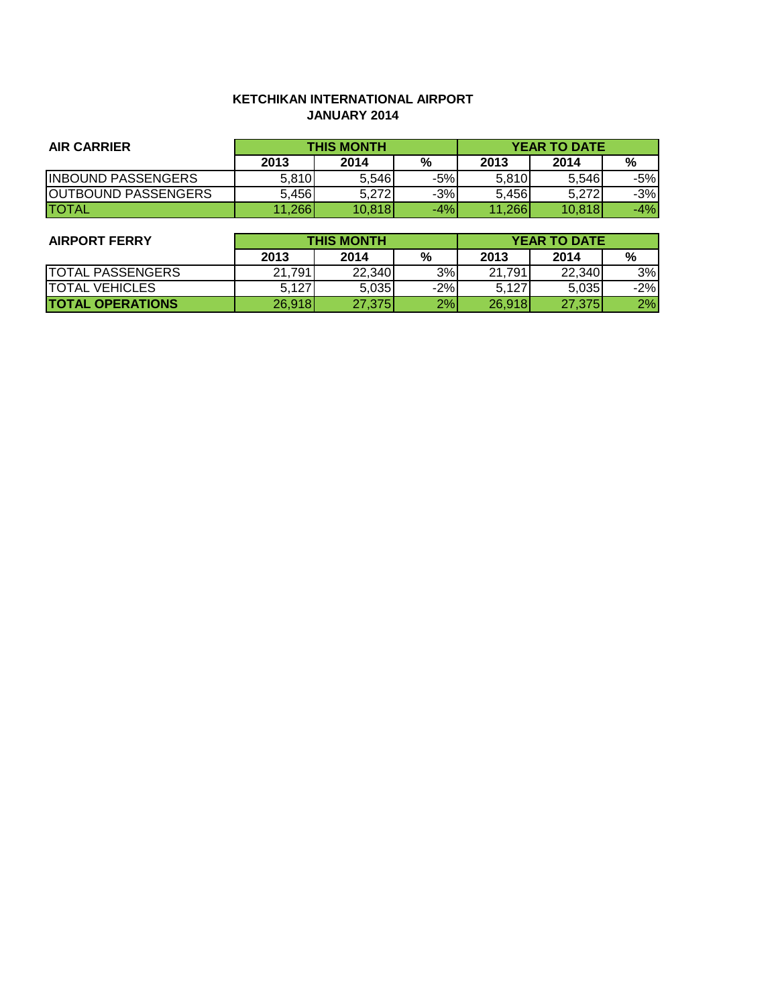## **KETCHIKAN INTERNATIONAL AIRPORT JANUARY 2014**

| <b>AIR CARRIER</b>         | <b>THIS MONTH</b> |        |       | <b>YEAR TO DATE</b> |        |       |
|----------------------------|-------------------|--------|-------|---------------------|--------|-------|
|                            | 2013              | 2014   | %     | 2013                | 2014   | %     |
| <b>INBOUND PASSENGERS</b>  | 5,810             | 5.546  | -5%   | 5,810               | 5,546  | -5%   |
| <b>OUTBOUND PASSENGERS</b> | 5.456             | 5.272  | $-3%$ | 5.456               | 5.272  | $-3%$ |
| <b>ITOTAL</b>              | ,266              | 10,818 | $-4%$ | 11.266              | 10.818 | $-4%$ |

| <b>AIRPORT FERRY</b>    | <b>THIS MONTH</b> |        |       | <b>YEAR TO DATE</b> |        |       |
|-------------------------|-------------------|--------|-------|---------------------|--------|-------|
|                         | 2013              | 2014   | %     | 2013                | 2014   | %     |
| <b>TOTAL PASSENGERS</b> | 21.791            | 22,340 | 3%    | 21,791              | 22,340 | 3%    |
| <b>TOTAL VEHICLES</b>   | 5.127             | 5,035  | $-2%$ | 5,127               | 5,035  | $-2%$ |
| <b>TOTAL OPERATIONS</b> | 26,918            | 27,375 | 2%    | 26,918              | 27,375 | 2%    |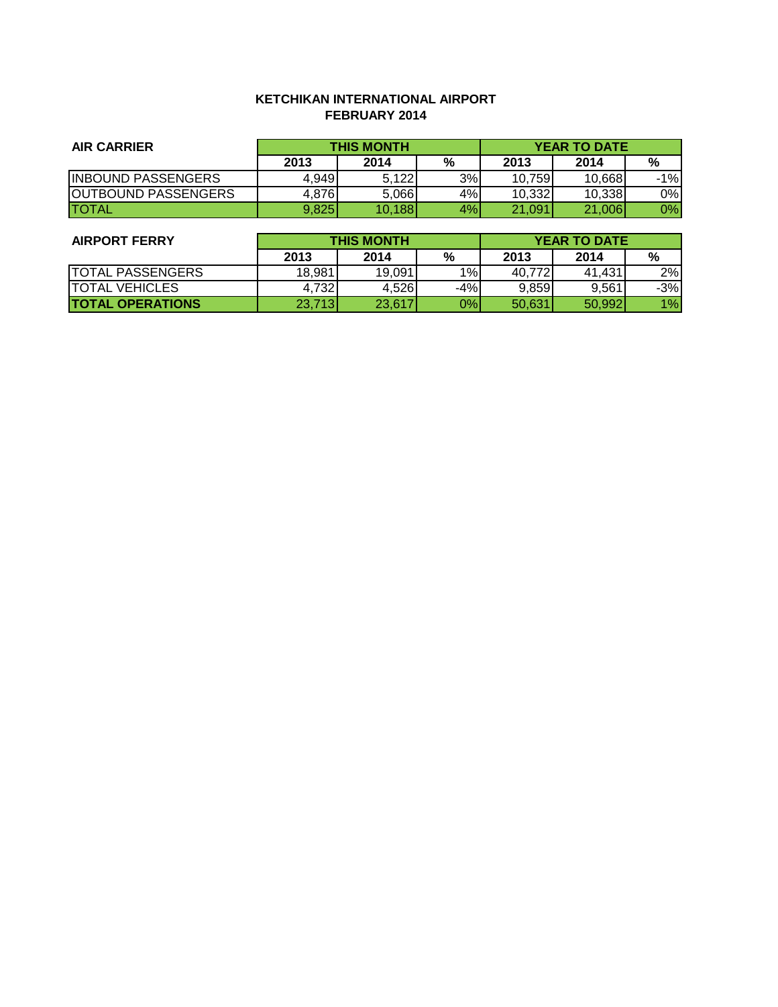## **KETCHIKAN INTERNATIONAL AIRPORT FEBRUARY 2014**

| <b>AIR CARRIER</b>         | <b>THIS MONTH</b> |        |    | <b>YEAR TO DATE</b> |        |       |
|----------------------------|-------------------|--------|----|---------------------|--------|-------|
|                            | 2013              | 2014   | %  | 2013                | 2014   | %     |
| <b>INBOUND PASSENGERS</b>  | 4,949             | 5.122  | 3% | 10.759              | 10.668 | $-1%$ |
| <b>OUTBOUND PASSENGERS</b> | 4,876             | 5,066  | 4% | 10.332              | 10.338 | 0%    |
| <b>TOTAL</b>               | 9,825             | 10,188 | 4% | 21.091              | 21,006 | 0%    |

| <b>AIRPORT FERRY</b>    | <b>THIS MONTH</b> |        |       | <b>YEAR TO DATE</b> |        |       |
|-------------------------|-------------------|--------|-------|---------------------|--------|-------|
|                         | 2013              | 2014   | %     | 2013                | 2014   | %     |
| <b>TOTAL PASSENGERS</b> | 18,981            | 19,091 | 1%    | 40.772              | 41.431 | 2%    |
| <b>ITOTAL VEHICLES</b>  | 4.732             | 4.526  | $-4%$ | 9.859               | 9.561  | $-3%$ |
| <b>TOTAL OPERATIONS</b> | 23,713            | 23,617 | 0%l   | 50.631              | 50.992 | 1%    |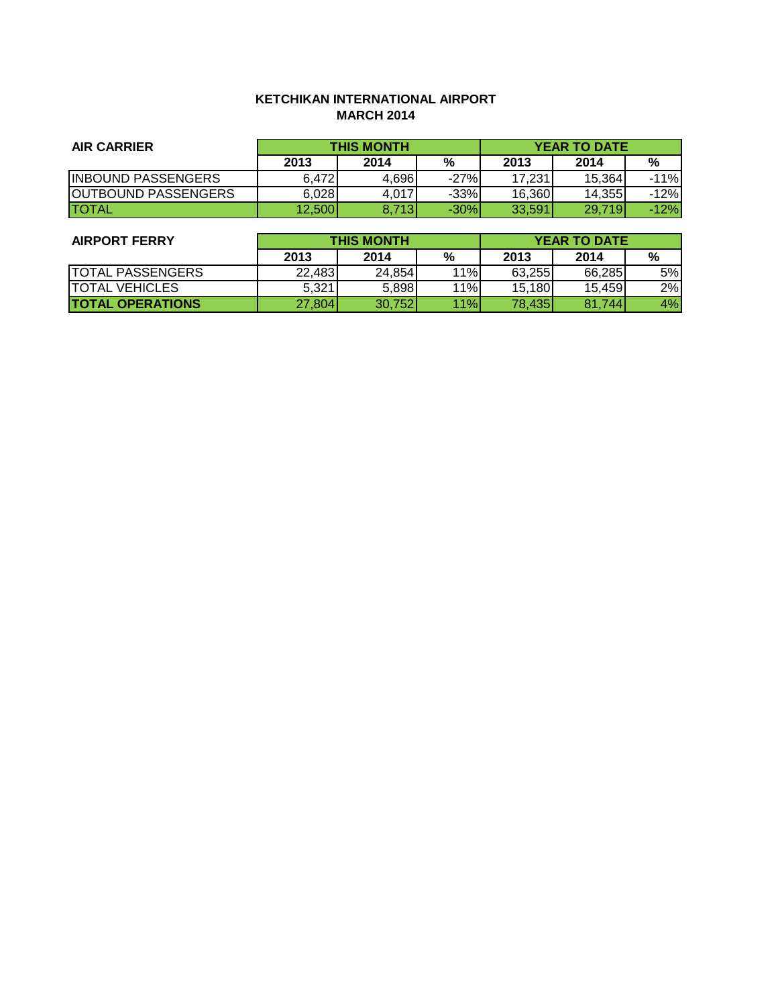## **KETCHIKAN INTERNATIONAL AIRPORT MARCH 2014**

| <b>AIR CARRIER</b>         | <b>THIS MONTH</b> |       |        | <b>YEAR TO DATE</b> |         |        |
|----------------------------|-------------------|-------|--------|---------------------|---------|--------|
|                            | 2013              | 2014  | %      | 2013                | 2014    | %      |
| <b>INBOUND PASSENGERS</b>  | 6,472             | 4,696 | $-27%$ | 17.231              | 15.364  | $-11%$ |
| <b>OUTBOUND PASSENGERS</b> | 6,028             | 4.017 | $-33%$ | 16.360              | 14.3551 | -12%   |
| <b>ITOTAL</b>              | 12,500            | 8.713 | $-30%$ | 33.591              | 29.719  | -12%l  |

| <b>AIRPORT FERRY</b>    | <b>THIS MONTH</b> |        |     | <b>YEAR TO DATE</b> |        |    |
|-------------------------|-------------------|--------|-----|---------------------|--------|----|
|                         | 2013              | 2014   | %   | 2013                | 2014   | %  |
| <b>TOTAL PASSENGERS</b> | 22.483            | 24,854 | 11% | 63,255              | 66.285 | 5% |
| <b>TOTAL VEHICLES</b>   | 5,321             | 5,898  | 11% | 15,180              | 15.459 | 2% |
| <b>TOTAL OPERATIONS</b> | 27,804            | 30,752 | 11% | 78,435              | 81.744 | 4% |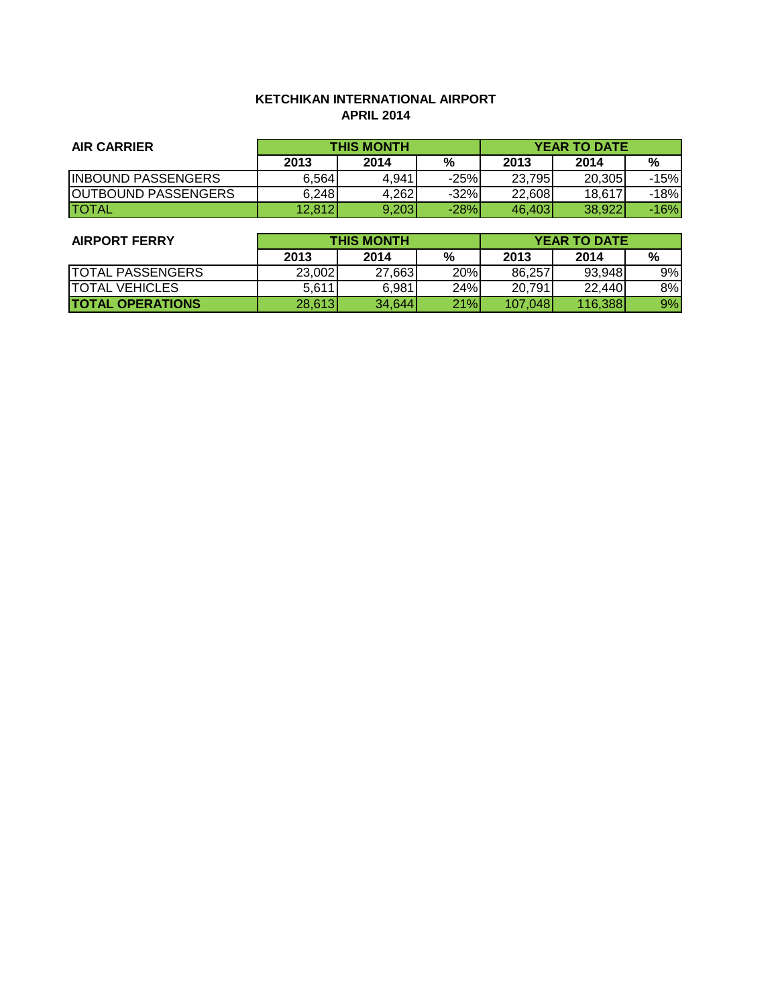## **KETCHIKAN INTERNATIONAL AIRPORT APRIL 2014**

| <b>AIR CARRIER</b>         | <b>THIS MONTH</b> |       |        | <b>YEAR TO DATE</b> |        |        |
|----------------------------|-------------------|-------|--------|---------------------|--------|--------|
|                            | 2013              | 2014  | %      | 2013                | 2014   | %      |
| <b>INBOUND PASSENGERS</b>  | 6,564             | 4,941 | $-25%$ | 23.795              | 20.305 | $-15%$ |
| <b>OUTBOUND PASSENGERS</b> | 6,248             | 4.262 | $-32%$ | 22.608              | 18,617 | -18%   |
| <b>ITOTAL</b>              | 12,812            | 9,203 | $-28%$ | 46.403              | 38,922 | -16%l  |

| <b>AIRPORT FERRY</b>    | <b>THIS MONTH</b> |        |            | <b>YEAR TO DATE</b> |          |    |
|-------------------------|-------------------|--------|------------|---------------------|----------|----|
|                         | 2013              | 2014   | %          | 2013                | 2014     | %  |
| <b>TOTAL PASSENGERS</b> | 23,002            | 27,663 | <b>20%</b> | 86.257              | 93,948   | 9% |
| <b>ITOTAL VEHICLES</b>  | 5,611             | 6,981  | 24%        | 20.791              | 22,440   | 8% |
| <b>TOTAL OPERATIONS</b> | 28,613            | 34.644 | 21%        | 107.048             | 116.388l | 9% |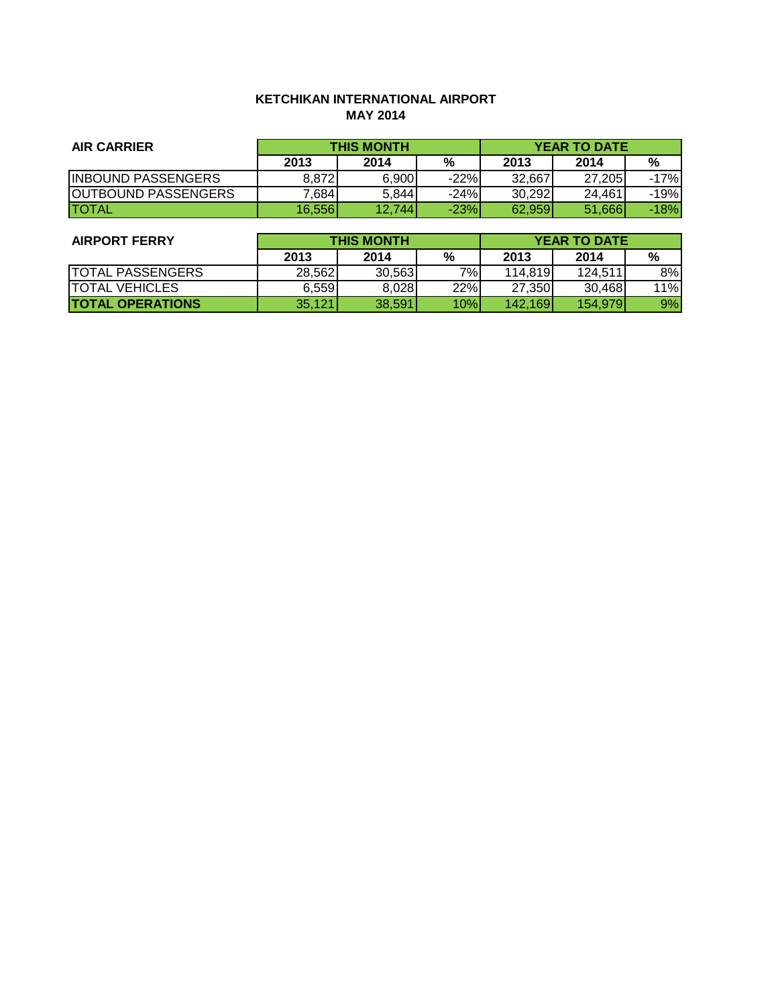# **KETCHIKAN INTERNATIONAL AIRPORT MAY 2014**

| <b>AIR CARRIER</b>         | <b>THIS MONTH</b> |        |        | <b>YEAR TO DATE</b> |        |        |
|----------------------------|-------------------|--------|--------|---------------------|--------|--------|
|                            | 2013              | 2014   | %      | 2013                | 2014   | %      |
| <b>INBOUND PASSENGERS</b>  | 8,872             | 6,900  | $-22%$ | 32.667              | 27.205 | $-17%$ |
| <b>OUTBOUND PASSENGERS</b> | 7,684             | 5,844  | $-24%$ | 30.292              | 24.461 | -19%   |
| <b>ITOTAL</b>              | 16.556            | 12.744 | $-23%$ | 62.959              | 51,666 | -18%l  |

| <b>AIRPORT FERRY</b>    | <b>THIS MONTH</b> |        |               | <b>YEAR TO DATE</b> |         |     |
|-------------------------|-------------------|--------|---------------|---------------------|---------|-----|
|                         | 2013              | 2014   | $\frac{9}{6}$ | 2013                | 2014    | %   |
| <b>TOTAL PASSENGERS</b> | 28,562            | 30.563 | 7%1           | 114,819             | 124.511 | 8%  |
| <b>TOTAL VEHICLES</b>   | 6.559             | 8,028  | 22%           | 27,350              | 30.468  | 11% |
| <b>TOTAL OPERATIONS</b> | 35,121            | 38,591 | 10%           | 142.169             | 154.979 | 9%  |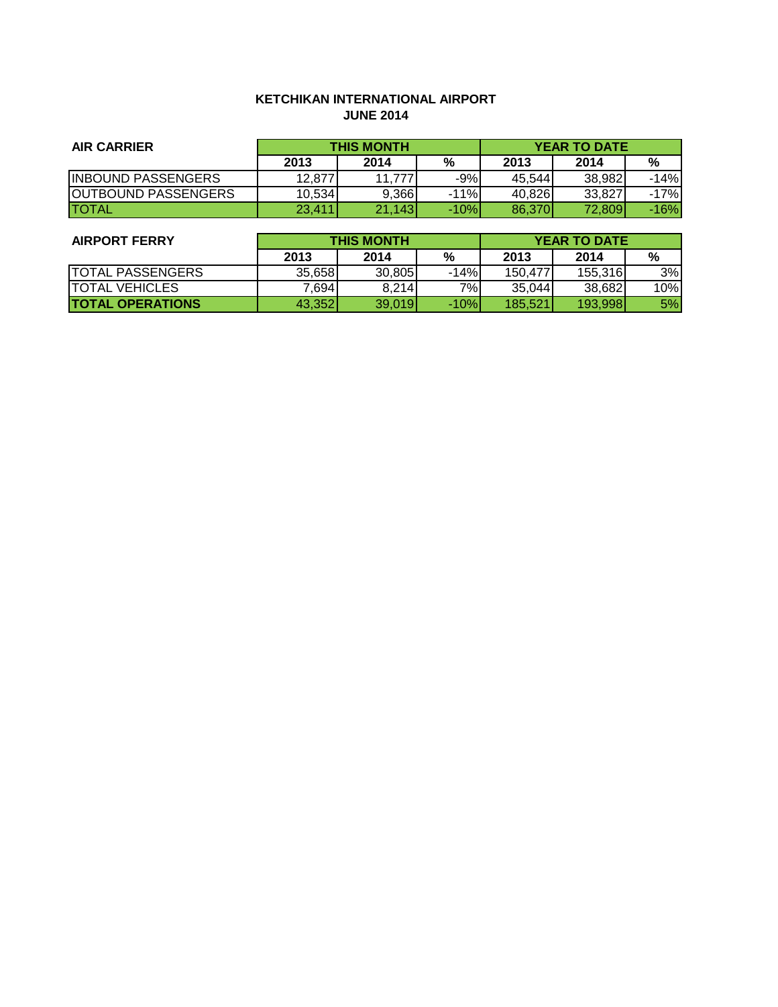## **KETCHIKAN INTERNATIONAL AIRPORT JUNE 2014**

| <b>AIR CARRIER</b>         | <b>THIS MONTH</b> |        |        | <b>YEAR TO DATE</b> |        |        |
|----------------------------|-------------------|--------|--------|---------------------|--------|--------|
|                            | 2013              | 2014   | %      | 2013                | 2014   | %      |
| <b>INBOUND PASSENGERS</b>  | 12,877            | 11.777 | $-9%$  | 45.544              | 38.982 | $-14%$ |
| <b>OUTBOUND PASSENGERS</b> | 10,534            | 9,366  | $-11%$ | 40.826              | 33,827 | $-17%$ |
| <b>TOTAL</b>               | 23.411            | 21.143 | $-10%$ | 86.370              | 72,809 | $-16%$ |

| <b>AIRPORT FERRY</b>    | <b>THIS MONTH</b> |        |        | <b>YEAR TO DATE</b> |         |     |
|-------------------------|-------------------|--------|--------|---------------------|---------|-----|
|                         | 2013              | 2014   | %      | 2013                | 2014    | %   |
| <b>TOTAL PASSENGERS</b> | 35,658            | 30,805 | $-14%$ | 150.477             | 155,316 | 3%  |
| <b>TOTAL VEHICLES</b>   | 7,694             | 8.214  | 7%     | 35.044              | 38.682  | 10% |
| <b>TOTAL OPERATIONS</b> | 43,352            | 39,019 | $-10%$ | 185.521             | 193,998 | 5%  |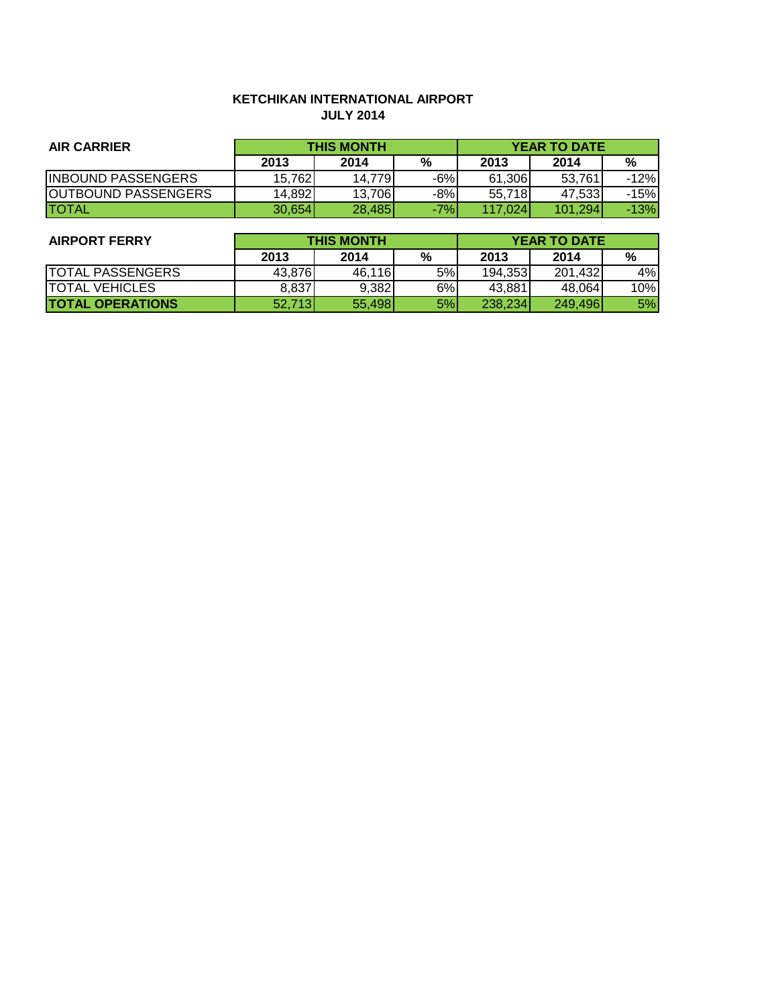# **KETCHIKAN INTERNATIONAL AIRPORT JULY 2014**

| <b>AIR CARRIER</b>         | <b>THIS MONTH</b> |        |       | <b>YEAR TO DATE</b> |         |        |
|----------------------------|-------------------|--------|-------|---------------------|---------|--------|
|                            | 2013              | 2014   | %     | 2013                | 2014    | %      |
| <b>INBOUND PASSENGERS</b>  | 15.762            | 14.779 | $-6%$ | 61,306              | 53.761  | $-12%$ |
| <b>OUTBOUND PASSENGERS</b> | 14,892            | 13.706 | $-8%$ | 55.718              | 47.533  | $-15%$ |
| <b>ITOTAL</b>              | 30.654            | 28,485 | $-7%$ | 117.024             | 101.294 | $-13%$ |

| <b>AIRPORT FERRY</b>    | <b>THIS MONTH</b> |        |    | <b>YEAR TO DATE</b> |         |     |
|-------------------------|-------------------|--------|----|---------------------|---------|-----|
|                         | 2013              | 2014   | %  | 2013                | 2014    | %   |
| <b>TOTAL PASSENGERS</b> | 43,876            | 46,116 | 5% | 194,353             | 201,432 | 4%  |
| <b>TOTAL VEHICLES</b>   | 8.837             | 9,382  | 6% | 43,881              | 48.064  | 10% |
| <b>TOTAL OPERATIONS</b> | 52,713            | 55,498 | 5% | 238,234             | 249,496 | 5%  |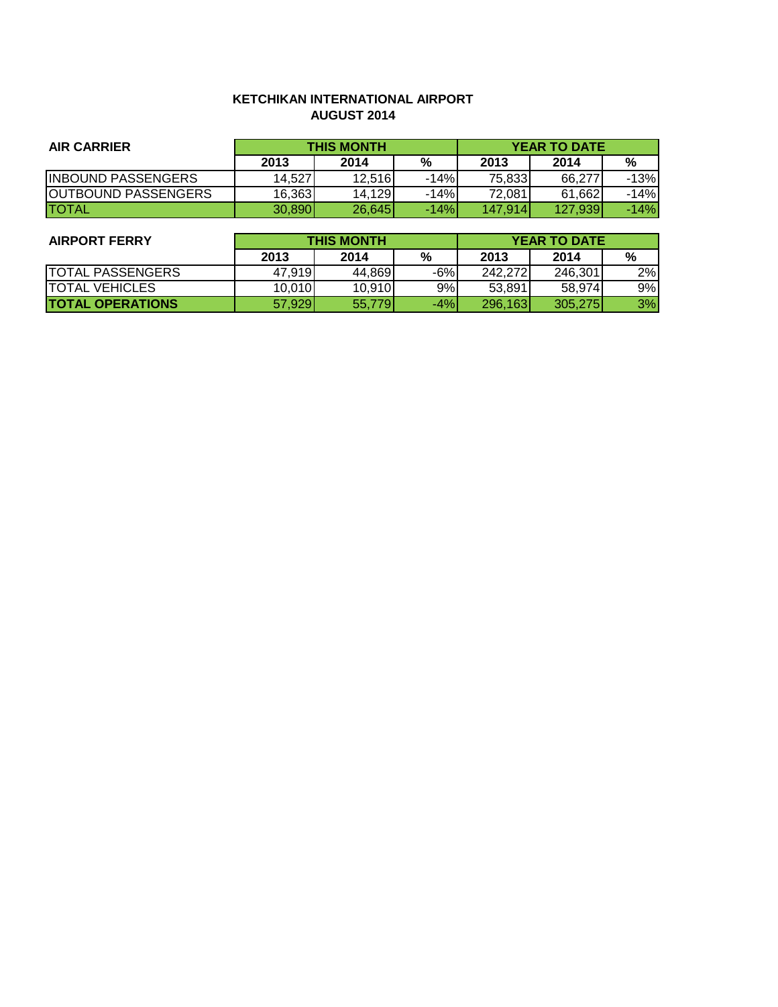## **KETCHIKAN INTERNATIONAL AIRPORT AUGUST 2014**

| <b>AIR CARRIER</b>         | <b>THIS MONTH</b> |        |        | <b>YEAR TO DATE</b> |         |        |
|----------------------------|-------------------|--------|--------|---------------------|---------|--------|
|                            | 2013              | 2014   | %      | 2013                | 2014    | %      |
| <b>INBOUND PASSENGERS</b>  | 14.527            | 12,516 | $-14%$ | 75,833              | 66.277  | $-13%$ |
| <b>OUTBOUND PASSENGERS</b> | 16,363            | 14,129 | -14%   | 72,081              | 61,662  | $-14%$ |
| <b>ITOTAL</b>              | 30,890            | 26,645 | $-14%$ | 147.914             | 127,939 | $-14%$ |

| <b>AIRPORT FERRY</b>     | <b>THIS MONTH</b> |        |       | <b>YEAR TO DATE</b> |         |    |
|--------------------------|-------------------|--------|-------|---------------------|---------|----|
|                          | 2013              | 2014   | %     | 2013                | 2014    | %  |
| <b>TOTAL PASSENGERS</b>  | 47.919            | 44.869 | $-6%$ | 242,272             | 246.301 | 2% |
| <b>TOTAL VEHICLES</b>    | 10,010            | 10,910 | 9%    | 53.891              | 58.974  | 9% |
| <b>ITOTAL OPERATIONS</b> | 57,929            | 55,779 | $-4%$ | 296,163             | 305,275 | 3% |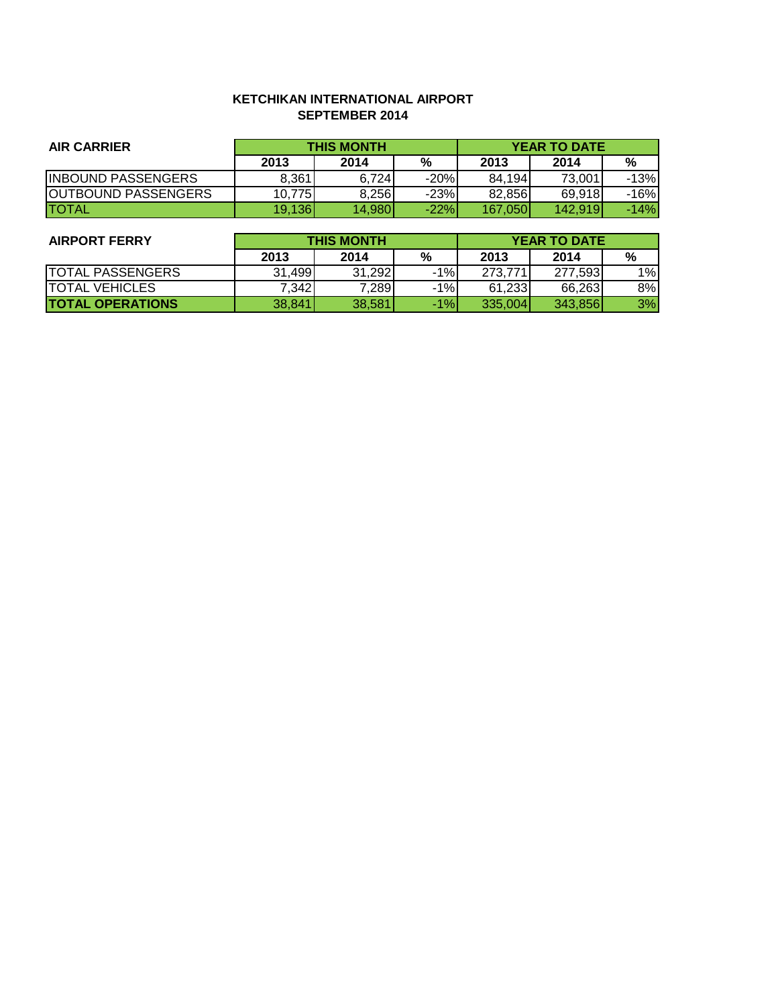## **KETCHIKAN INTERNATIONAL AIRPORT SEPTEMBER 2014**

| <b>AIR CARRIER</b>         | <b>THIS MONTH</b> |        |        | <b>YEAR TO DATE</b> |         |        |
|----------------------------|-------------------|--------|--------|---------------------|---------|--------|
|                            | 2013              | 2014   | %      | 2013                | 2014    | %      |
| <b>INBOUND PASSENGERS</b>  | 8,361             | 6.724  | $-20%$ | 84.194              | 73,001  | $-13%$ |
| <b>OUTBOUND PASSENGERS</b> | 10.775            | 8,256  | $-23%$ | 82.856              | 69,918  | $-16%$ |
| <b>ITOTAL</b>              | 19,136            | 14.980 | $-22%$ | 167,050             | 142.919 | $-14%$ |

| <b>AIRPORT FERRY</b>    | <b>THIS MONTH</b> |        |       | <b>YEAR TO DATE</b> |         |    |
|-------------------------|-------------------|--------|-------|---------------------|---------|----|
|                         | 2013              | 2014   | %     | 2013                | 2014    | %  |
| <b>TOTAL PASSENGERS</b> | 31,499            | 31.292 | $-1%$ | 273.771             | 277,593 | 1% |
| <b>TOTAL VEHICLES</b>   | 7.342             | 7,289  | $-1%$ | 61.233              | 66.263  | 8% |
| <b>TOTAL OPERATIONS</b> | 38,841            | 38,581 | $-1%$ | 335,004             | 343.856 | 3% |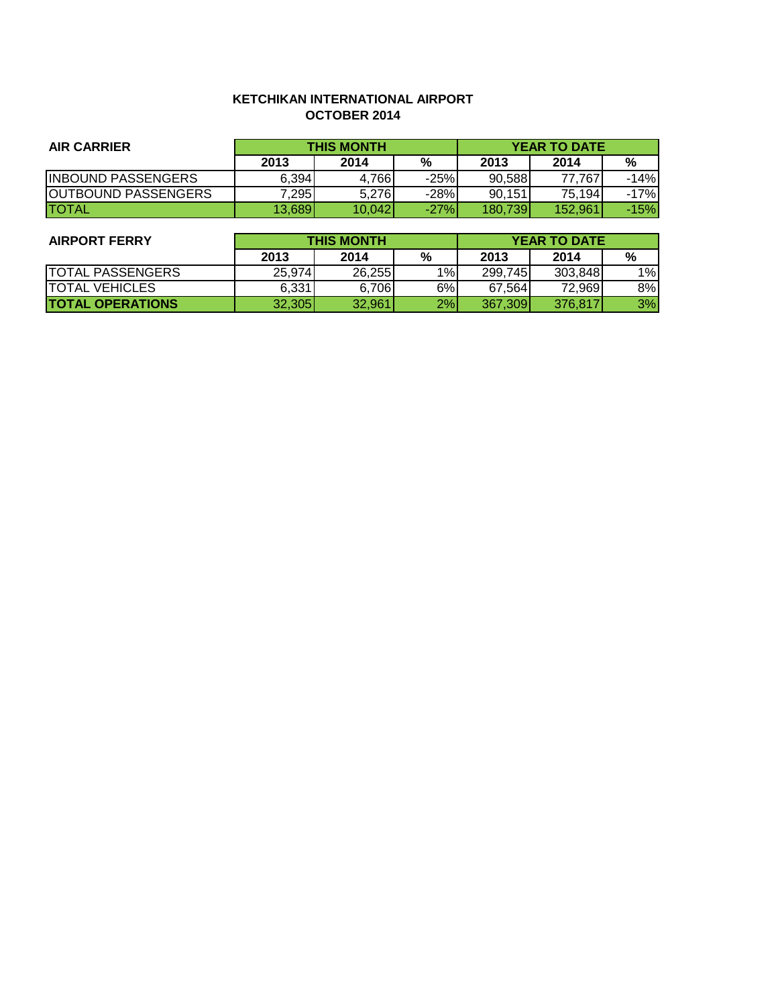## **KETCHIKAN INTERNATIONAL AIRPORT OCTOBER 2014**

| <b>AIR CARRIER</b>         | <b>THIS MONTH</b> |        |        | <b>YEAR TO DATE</b> |         |        |
|----------------------------|-------------------|--------|--------|---------------------|---------|--------|
|                            | 2013              | 2014   | %      | 2013                | 2014    | %      |
| <b>INBOUND PASSENGERS</b>  | 6,394             | 4.766  | $-25%$ | 90.588              | 77.767  | $-14%$ |
| <b>OUTBOUND PASSENGERS</b> | 7,295             | 5.276  | $-28%$ | 90.151              | 75,194  | $-17%$ |
| <b>ITOTAL</b>              | 13.689            | 10.042 | $-27%$ | 180.739I            | 152.961 | $-15%$ |

| <b>AIRPORT FERRY</b>     | <b>THIS MONTH</b> |        |    | <b>YEAR TO DATE</b> |         |       |
|--------------------------|-------------------|--------|----|---------------------|---------|-------|
|                          | 2013              | 2014   | %  | 2013                | 2014    | %     |
| <b>TOTAL PASSENGERS</b>  | 25,974            | 26,255 | 1% | 299,745             | 303.848 | $1\%$ |
| <b>TOTAL VEHICLES</b>    | 6.331             | 6,706  | 6% | 67.564              | 72,9691 | 8%    |
| <b>ITOTAL OPERATIONS</b> | 32.305            | 32,961 | 2% | 367.309             | 376.817 | 3%    |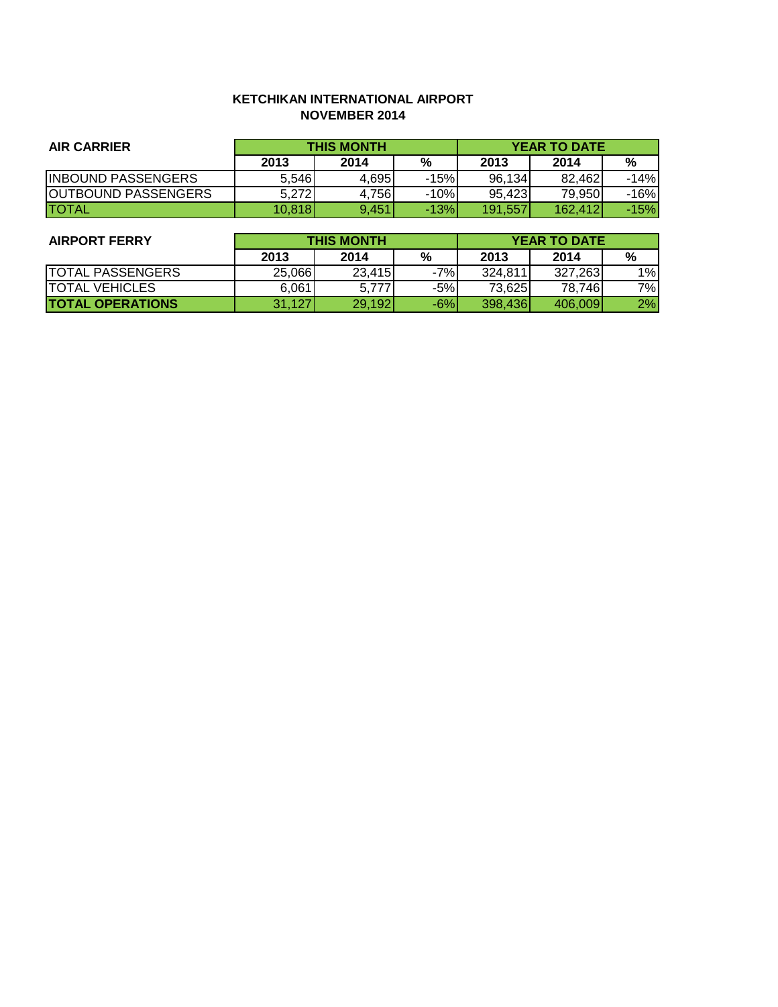## **KETCHIKAN INTERNATIONAL AIRPORT NOVEMBER 2014**

| <b>AIR CARRIER</b>         | <b>THIS MONTH</b> |       |        | <b>YEAR TO DATE</b> |         |        |
|----------------------------|-------------------|-------|--------|---------------------|---------|--------|
|                            | 2013              | 2014  | %      | 2013                | 2014    | %      |
| <b>INBOUND PASSENGERS</b>  | 5,546             | 4.695 | $-15%$ | 96.134              | 82.462  | $-14%$ |
| <b>OUTBOUND PASSENGERS</b> | 5,272             | 4,756 | $-10%$ | 95.423              | 79.950  | -16%   |
| <b>ITOTAL</b>              | 10.818            | 9.451 | $-13%$ | 191.557             | 162,412 | -15%l  |

| <b>AIRPORT FERRY</b>    | <b>THIS MONTH</b> |        |       | <b>YEAR TO DATE</b> |         |    |
|-------------------------|-------------------|--------|-------|---------------------|---------|----|
|                         | 2013              | 2014   | %     | 2013                | 2014    | %  |
| <b>TOTAL PASSENGERS</b> | 25,066            | 23.415 | $-7%$ | 324.811             | 327.263 | 1% |
| <b>ITOTAL VEHICLES</b>  | 6,061             | 5.777  | $-5%$ | 73,625              | 78,746  | 7% |
| <b>TOTAL OPERATIONS</b> | 31,127            | 29,192 | $-6%$ | 398,436             | 406.009 | 2% |